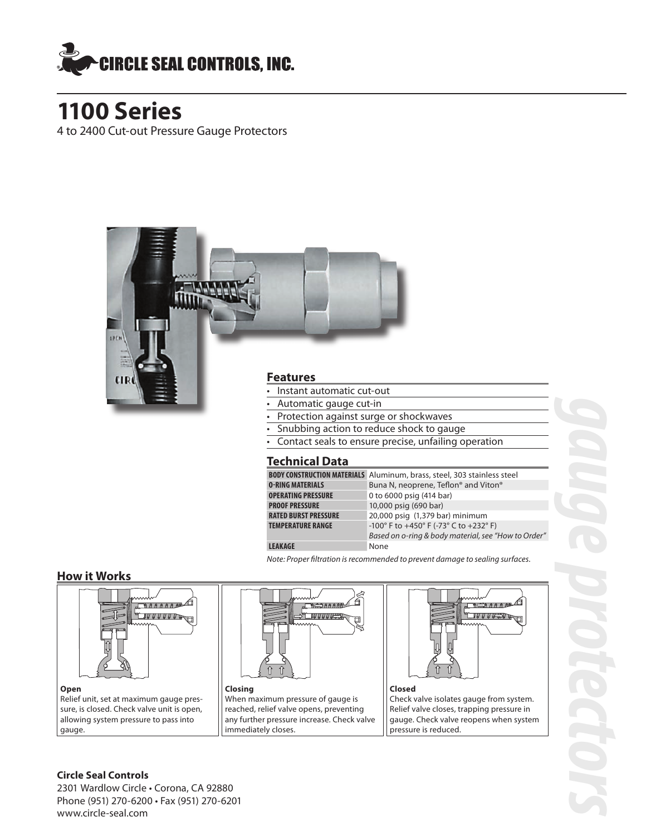

# **1100 Series**

4 to 2400 Cut-out Pressure Gauge Protectors



- Automatic gauge cut-in
- Protection against surge or shockwaves
- Snubbing action to reduce shock to gauge
- Contact seals to ensure precise, unfailing operation

#### **Technical Data**

|                             | <b>BODY CONSTRUCTION MATERIALS</b> Aluminum, brass, steel, 303 stainless steel |
|-----------------------------|--------------------------------------------------------------------------------|
| <b>O-RING MATERIALS</b>     | Buna N, neoprene, Teflon® and Viton®                                           |
| <b>OPERATING PRESSURE</b>   | 0 to 6000 psig (414 bar)                                                       |
| <b>PROOF PRESSURE</b>       | 10,000 psig (690 bar)                                                          |
| <b>RATED BURST PRESSURE</b> | 20,000 psig (1,379 bar) minimum                                                |
| <b>TEMPERATURE RANGE</b>    | -100° F to +450° F (-73° C to +232° F)                                         |
|                             | Based on o-ring & body material, see "How to Order"                            |
| LEAKAGE                     | None                                                                           |
|                             |                                                                                |

Note: Proper filtration is recommended to prevent damage to sealing surfaces.

#### **How it Works**



Relief unit, set at maximum gauge pressure, is closed. Check valve unit is open, allowing system pressure to pass into gauge.



**Closing** When maximum pressure of gauge is reached, relief valve opens, preventing any further pressure increase. Check valve immediately closes.



#### **Closed**

Check valve isolates gauge from system. Relief valve closes, trapping pressure in gauge. Check valve reopens when system pressure is reduced.

#### **Circle Seal Controls**

2301 Wardlow Circle • Corona, CA 92880 Phone (951) 270-6200 • Fax (951) 270-6201 www.circle-seal.com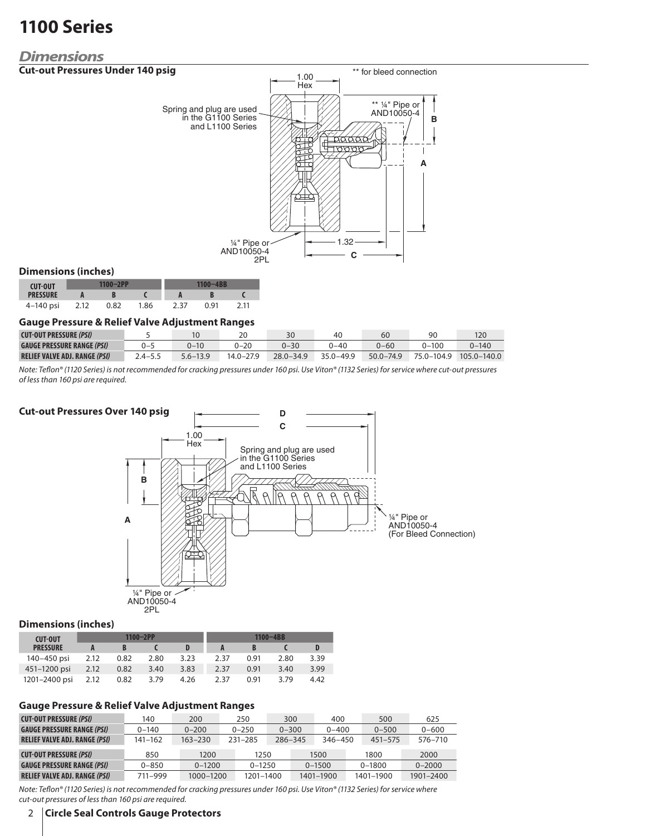# **1100 Series**

#### **Dimensions**

#### **Cut-out Pressures Under 140 psig**



#### **Dimensions (inches)**

| <b>CUT-OUT</b>  | 1100–2PP |      |      |      | 1100–4BB |      |
|-----------------|----------|------|------|------|----------|------|
| <b>PRESSURE</b> |          |      |      |      |          |      |
| $4-140$ psi     | 2.12     | 0.82 | 1.86 | 2.37 | በ 91     | 2.11 |

#### **Gauge Pressure & Relief Valve Adjustment Ranges**

| <b>CUT-OUT PRESSURE (PSI)</b>        |                          |              | 20            |               |               | 6С            | 90         |                 |
|--------------------------------------|--------------------------|--------------|---------------|---------------|---------------|---------------|------------|-----------------|
| <b>GAUGE PRESSURE RANGE (PSI)</b>    | $\overline{\phantom{0}}$ |              |               | 0–30          | -40           | 0–60          | -100       | 0–140           |
| <b>RELIEF VALVE ADJ. RANGE (PSI)</b> | $2.4 - 5.5$              | $5.6 - 13.9$ | $14.0 - 27.9$ | $28.0 - 34.9$ | $35.0 - 49.9$ | $50.0 - 74.9$ | 75.0-104.9 | $105.0 - 140.0$ |

Note: Teflon® (1120 Series) is not recommended for cracking pressures under 160 psi. Use Viton® (1132 Series) for service where cut-out pressures of less than 160 psi are required.

#### **Cut-out Pressures Over 140 psig D C** 1.00 Hex Spring and plug are used in the G1100 Series and L1100 Series **B** h q ¼" Pipe or **A** AND10050-4 (For Bleed Connection) ¼" Pipe or AND10050-4 2PL

#### **Dimensions (inches)**

| <b>CUT-OUT</b>  |      |      | $1100 - 2PP$ |      |      |      | $1100 - 4BB$ |      |
|-----------------|------|------|--------------|------|------|------|--------------|------|
| <b>PRESSURE</b> |      |      |              | D    |      |      |              |      |
| 140–450 psi     | 2.12 | 0.82 | 2.80         | 3.23 | 2.37 | 0.91 | 2.80         | 3.39 |
| 451-1200 psi    | 2.12 | 0.82 | 3.40         | 3.83 | 2.37 | 0.91 | 3.40         | 3.99 |
| 1201-2400 psi   | 2.12 | 0.82 | 3.79         | 4.26 | 2.37 | 0.91 | 3.79         | 4.42 |

#### **Gauge Pressure & Relief Valve Adjustment Ranges**

| <b>CUT-OUT PRESSURE (PSI)</b>        | 140       | 200         | 250        | 300       | 400        | 500        | 625        |
|--------------------------------------|-----------|-------------|------------|-----------|------------|------------|------------|
| <b>GAUGE PRESSURE RANGE (PSI)</b>    | $0 - 140$ | $0 - 200$   | $0 - 250$  | $0 - 300$ | $0 - 400$  | $0 - 500$  | $0 - 600$  |
| <b>RELIEF VALVE ADJ. RANGE (PSI)</b> | 141-162   | $163 - 230$ | 231-285    | 286-345   | 346-450    | 451-575    | 576-710    |
| <b>CUT-OUT PRESSURE (PSI)</b>        | 850       | 1200        | 1250       |           | 1500       | 1800       | 2000       |
| <b>GAUGE PRESSURE RANGE (PSI)</b>    | $0 - 850$ | $0 - 1200$  | $0 - 1250$ |           | $0 - 1500$ | $0 - 1800$ | $0 - 2000$ |
| <b>RELIEF VALVE ADJ. RANGE (PSI)</b> | 711-999   | 1000-1200   | 1201-1400  |           | 1401-1900  | 1401-1900  | 1901-2400  |

Note: Teflon® (1120 Series) is not recommended for cracking pressures under 160 psi. Use Viton® (1132 Series) for service where cut-out pressures of less than 160 psi are required.

#### 2 **Circle Seal Controls Gauge Protectors**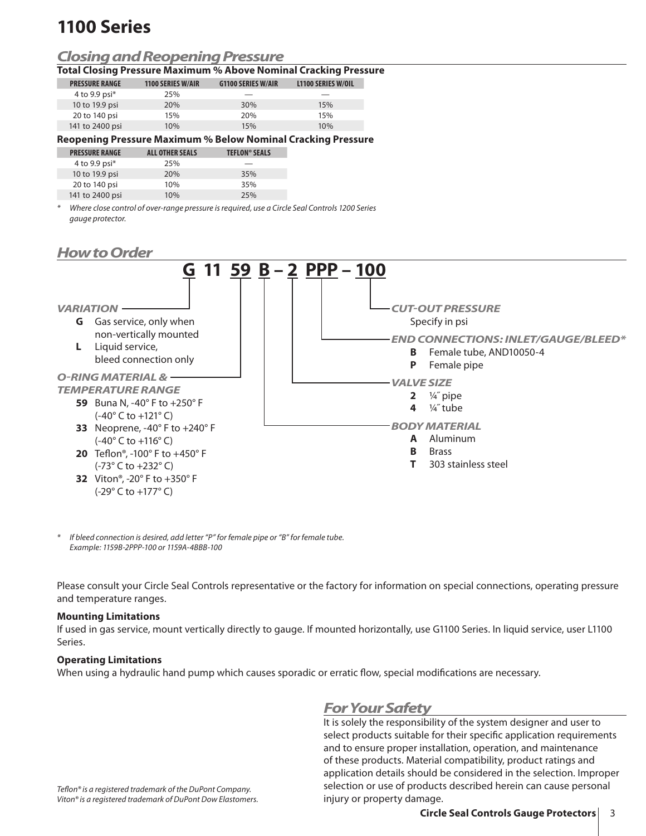# **1100 Series**

### **Closing and Reopening Pressure**

#### **Total Closing Pressure Maximum % Above Nominal Cracking Pressure**

| <b>PRESSURE RANGE</b> | 1100 SERIES W/AIR | <b>G1100 SERIES W/AIR</b> | <b>L1100 SERIES W/OIL</b> |
|-----------------------|-------------------|---------------------------|---------------------------|
| 4 to 9.9 psi $*$      | 25%               | __                        |                           |
| 10 to 19.9 psi        | 20%               | 30%                       | 15%                       |
| 20 to 140 psi         | 15%               | 20%                       | 15%                       |
| 141 to 2400 psi       | 10%               | 15%                       | 10%                       |

#### **Reopening Pressure Maximum % Below Nominal Cracking Pressure**

| <b>PRESSURE RANGE</b> | <b>ALL OTHER SEALS</b> | <b>TEFLON<sup>®</sup> SEALS</b> |
|-----------------------|------------------------|---------------------------------|
| 4 to 9.9 psi*         | 25%                    |                                 |
| 10 to 19.9 psi        | 20%                    | 35%                             |
| 20 to 140 psi         | 10%                    | 35%                             |
| 141 to 2400 psi       | 10%                    | 25%                             |

Where close control of over-range pressure is required, use a Circle Seal Controls 1200 Series gauge protector.

### **How to Order**



If bleed connection is desired, add letter "P" for female pipe or "B" for female tube. Example: 1159B-2PPP-100 or 1159A-4BBB-100

Please consult your Circle Seal Controls representative or the factory for information on special connections, operating pressure and temperature ranges.

#### **Mounting Limitations**

If used in gas service, mount vertically directly to gauge. If mounted horizontally, use G1100 Series. In liquid service, user L1100 Series.

#### **Operating Limitations**

When using a hydraulic hand pump which causes sporadic or erratic flow, special modifications are necessary.

## **For Your Safety**

It is solely the responsibility of the system designer and user to select products suitable for their specific application requirements and to ensure proper installation, operation, and maintenance of these products. Material compatibility, product ratings and application details should be considered in the selection. Improper selection or use of products described herein can cause personal injury or property damage.

Teflon® is a registered trademark of the DuPont Company. Viton® is a registered trademark of DuPont Dow Elastomers.